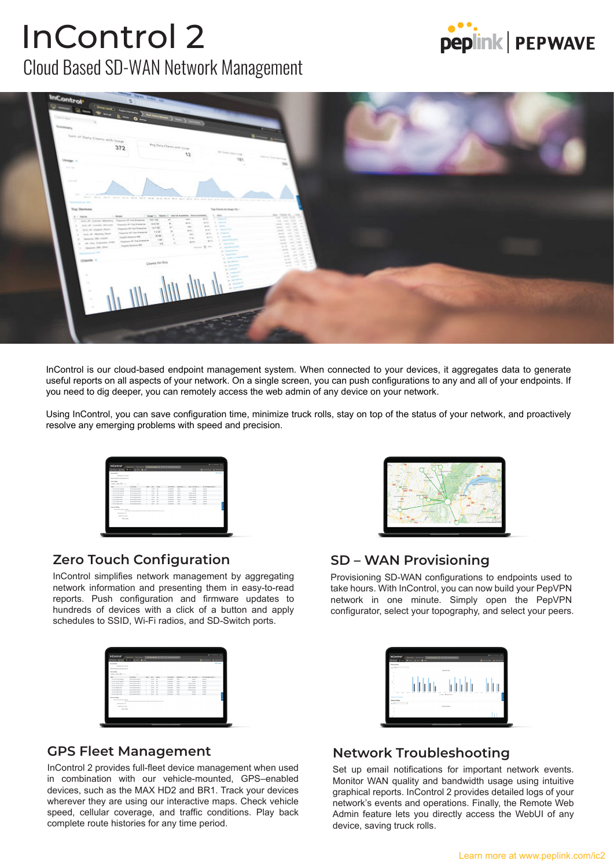## Cloud Based SD-WAN Network Management InControl 2





InControl is our cloud-based endpoint management system. When connected to your devices, it aggregates data to generate useful reports on all aspects of your network. On a single screen, you can push configurations to any and all of your endpoints. If you need to dig deeper, you can remotely access the web admin of any device on your network.

Using InControl, you can save configuration time, minimize truck rolls, stay on top of the status of your network, and proactively resolve any emerging problems with speed and precision.

| $Q$ and $Q$ +<br><b>Stop Story</b>      | $+ - 8$                                                                                     |                |                |               |                        |                     |                          | Browns Ar           | <b>WASHINGTON</b> |
|-----------------------------------------|---------------------------------------------------------------------------------------------|----------------|----------------|---------------|------------------------|---------------------|--------------------------|---------------------|-------------------|
| <b>SERVICE UNITS</b>                    |                                                                                             |                |                |               |                        |                     |                          |                     |                   |
| <b>Rating Reports 1000 Park William</b> |                                                                                             |                |                |               |                        |                     |                          |                     |                   |
| <b>Run lottra</b>                       |                                                                                             |                |                |               |                        |                     |                          |                     |                   |
| Andre L. 6 des 2007 (nom-               |                                                                                             |                |                |               |                        |                     |                          |                     |                   |
| <b>Sec.</b>                             | <b><i><u>Roduk Kore</u></i></b>                                                             | <b>Ballion</b> | <b>Band</b>    | <b>Durant</b> | <b>During Walk</b>     | <b>Statifier II</b> | <b>Boot</b> Recibers In  | to deriver here. It |                   |
| 1. A & College Material                 | <b>AT Fax To be come that a</b>                                                             |                | <b>LA Box</b>  | $\sim$        | <b>SARRA</b>           | <b>Sales</b>        | sons.                    | <b>SALE</b>         |                   |
| 1 NA F Arm Aren                         | AT ONE DIRECTOR PRO AT                                                                      |                | <b>TIME</b>    | $\sim$        | <b>SAMPS</b>           | 1.001               | <b>Home</b>              | <b>STATE</b>        |                   |
| 11 YO F RIVER BELLE                     | <b>PERMIT REPAIR</b>                                                                        |                | <b>AT REA</b>  | $\sim$        | <b>SAMPLE</b>          | max.                | <b>TAXABLE ATTITUDE</b>  | <b>STEW</b>         |                   |
| 1. KALIF Zaman, Associate               | APOINTMOUNT 2                                                                               |                | 144            | $\sim$        | <b>A REAL PROPERTY</b> | <b>MARINE</b>       | <b>Electric province</b> | <b>CONTRACT</b>     |                   |
| $-$ 0.0 $\pm$ 0.0 models from           | <b>AT ON THE STATE OF A</b>                                                                 |                | <b>La Sea</b>  | <b>A</b>      | <b>SAMPLE</b>          | <b>MAG</b>          | <b>Factor control</b>    | <b>STATE</b>        |                   |
| 11 Mill of States Road                  | <b>AT For The computer A</b>                                                                |                | A Box          | <b>Sellen</b> | <b>AARTAN</b>          | <b>Side</b>         | <b>Business Holland</b>  | <b>SALE</b>         |                   |
| 1 S.A.M. Agent Ave.                     | AT ON THROUGH PRE JE                                                                        |                | <b>LESS</b>    | $\sim$        | <b>SAMPLE</b>          | <b>Address</b>      | <b>Hotel</b>             | <b>STATE</b>        |                   |
| C MA M Search Box                       | AT Die Rachter Hill 41                                                                      |                | <b>A Brita</b> | <b>Color</b>  | <b>DA BORN</b>         | <b>Dutch</b>        | <b>HOMES</b>             | <b>HARAN</b>        |                   |
| Ananya School                           |                                                                                             |                |                |               |                        |                     |                          |                     |                   |
| <b>Barne Serb Schools Statistic</b>     |                                                                                             |                |                |               |                        |                     |                          |                     |                   |
|                                         | him design and party services and the forest product to the AC change of the Company of the |                |                |               |                        |                     |                          |                     |                   |
| <b><i>Santaneon Wa</i></b>              |                                                                                             |                |                |               |                        |                     |                          |                     |                   |
| <b>Barney from Miller</b>               |                                                                                             |                |                |               |                        |                     |                          |                     |                   |
| were trusted                            |                                                                                             |                |                |               |                        |                     |                          |                     |                   |
|                                         |                                                                                             |                |                |               |                        |                     |                          |                     |                   |

#### **Zero Touch Configuration**

InControl simplifies network management by aggregating network information and presenting them in easy-to-read reports. Push configuration and firmware updates to hundreds of devices with a click of a button and apply schedules to SSID, Wi-Fi radios, and SD-Switch ports.

|                                                |                                                                                             | InControl<br>- ) arrestown ) and ) constants<br>Climatized 3<br>$2 - 7 - 8 - 8 - 8$<br><b>CONTROL</b> |                |                  |                        |                     |                         |                                              |  |  |  |
|------------------------------------------------|---------------------------------------------------------------------------------------------|-------------------------------------------------------------------------------------------------------|----------------|------------------|------------------------|---------------------|-------------------------|----------------------------------------------|--|--|--|
| <b>Stop Story</b>                              |                                                                                             |                                                                                                       |                |                  |                        |                     |                         | <b>Bluemont Aven</b><br><b><i>RANGEL</i></b> |  |  |  |
| <b>SERVICE UNITS</b>                           |                                                                                             |                                                                                                       |                |                  |                        |                     |                         |                                              |  |  |  |
| <b>Rating Reports 1000 Park William</b>        |                                                                                             |                                                                                                       |                |                  |                        |                     |                         |                                              |  |  |  |
|                                                |                                                                                             |                                                                                                       |                |                  |                        |                     |                         |                                              |  |  |  |
| <b>Run lottra</b><br>Andre L. 6 des 2002 (nom- |                                                                                             |                                                                                                       |                |                  |                        |                     |                         |                                              |  |  |  |
|                                                |                                                                                             |                                                                                                       |                |                  |                        |                     |                         |                                              |  |  |  |
| <b>Sec.</b>                                    | <b><i><u>Roduk Kore</u></i></b>                                                             | <b>Ballist</b>                                                                                        | <b>Rent</b>    | <b>Date</b>      | <b>During Walk</b>     | <b>Statifier II</b> | <b>Boot</b> Recibers In | <b>Mr. Continged fronty 12</b>               |  |  |  |
| 1. A & College Material                        | <b>AT Fact Security 1985 AT</b>                                                             | ×                                                                                                     | La Box 1944    |                  | <b>SARRA</b>           | <b>Sales</b>        | <b>HOME</b>             | <b>SHARE</b>                                 |  |  |  |
| 1 NA F Arm Anns                                | AT ONE DESCRIPTION AT                                                                       | $\sim$                                                                                                | <b>FRY</b>     | <b>Contract</b>  | <b>ALCOHOL:</b>        | <b>STATE</b>        | -                       | $-$                                          |  |  |  |
| 1 S.A. of Arrest Advert-                       | <b>PAULABASE REAL</b>                                                                       |                                                                                                       | <b>AT REAL</b> | <b>A</b>         | <b>SAMPLE</b>          | max.                | <b>TAXABLE ATTITUDE</b> | <b>STEW</b>                                  |  |  |  |
| I was all forces because                       | and the characters town to                                                                  |                                                                                                       | <b>A Great</b> | <b>Section</b>   | <b>A REAL PROPERTY</b> | <b>MARK</b>         | <b>Excess model</b>     | <b>CONTRACT</b>                              |  |  |  |
| $1.04$ of them from                            | <b>AT ON THE HORN FIRE AT</b>                                                               | ä                                                                                                     | 1404 00        |                  | <b>SAMPLE</b>          | <b>MAG</b>          | <b>TAXABLE ARTISTS</b>  | <b>STATE</b>                                 |  |  |  |
| 1 to 10 limits from                            | <b>AT For The computer A</b>                                                                |                                                                                                       | <b>After</b>   | <b>Selection</b> | <b>AARTAN</b>          | <b>Market</b>       | <b>Business Holland</b> | <b>SALES</b>                                 |  |  |  |
| 1 S.A.M. Agent Ave.                            | AT ON THROUGH PRE JE                                                                        |                                                                                                       | 1100           | <b>SE</b>        | <b>SAMPLE</b>          | <b>Address</b>      | <b>Hotel</b>            | <b>STATE</b>                                 |  |  |  |
| C MA M Search Box                              | AT Dec Tracerse (2014)                                                                      | ٠                                                                                                     | <b>ABO</b>     | <b>Color</b>     | <b>DA BORN</b>         | <b>Dutch</b>        | <b>HOMES</b>            | <b>HARAN</b>                                 |  |  |  |
| Ananya School                                  |                                                                                             |                                                                                                       |                |                  |                        |                     |                         |                                              |  |  |  |
| <b>Terra Serie Streets Today</b>               |                                                                                             |                                                                                                       |                |                  |                        |                     |                         |                                              |  |  |  |
|                                                | him design and party services and the forest product to the AC change of the Company of the |                                                                                                       |                |                  |                        |                     |                         |                                              |  |  |  |
| <b><i>Santaneon Wa</i></b>                     |                                                                                             |                                                                                                       |                |                  |                        |                     |                         |                                              |  |  |  |
| <b>Burnty from Mills</b>                       |                                                                                             |                                                                                                       |                |                  |                        |                     |                         |                                              |  |  |  |
| send dealership                                |                                                                                             |                                                                                                       |                |                  |                        |                     |                         |                                              |  |  |  |
|                                                |                                                                                             |                                                                                                       |                |                  |                        |                     |                         |                                              |  |  |  |
|                                                |                                                                                             |                                                                                                       |                |                  |                        |                     |                         |                                              |  |  |  |

#### **SD – WAN Provisioning**

Provisioning SD-WAN configurations to endpoints used to take hours. With InControl, you can now build your PepVPN network in one minute. Simply open the PepVPN configurator, select your topography, and select your peers.



#### **Network Troubleshooting**

Set up email notifications for important network events. Monitor WAN quality and bandwidth usage using intuitive graphical reports. InControl 2 provides detailed logs of your network's events and operations. Finally, the Remote Web Admin feature lets you directly access the WebUI of any device, saving truck rolls.

#### **GPS Fleet Management**

InControl 2 provides full-fleet device management when used in combination with our vehicle-mounted, GPS–enabled devices, such as the MAX HD2 and BR1. Track your devices wherever they are using our interactive maps. Check vehicle speed, cellular coverage, and traffic conditions. Play back complete route histories for any time period.